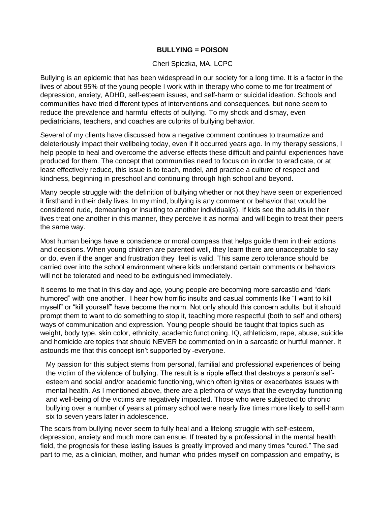## **BULLYING = POISON**

## Cheri Spiczka, MA, LCPC

Bullying is an epidemic that has been widespread in our society for a long time. It is a factor in the lives of about 95% of the young people I work with in therapy who come to me for treatment of depression, anxiety, ADHD, self-esteem issues, and self-harm or suicidal ideation. Schools and communities have tried different types of interventions and consequences, but none seem to reduce the prevalence and harmful effects of bullying. To my shock and dismay, even pediatricians, teachers, and coaches are culprits of bullying behavior.

Several of my clients have discussed how a negative comment continues to traumatize and deleteriously impact their wellbeing today, even if it occurred years ago. In my therapy sessions, I help people to heal and overcome the adverse effects these difficult and painful experiences have produced for them. The concept that communities need to focus on in order to eradicate, or at least effectively reduce, this issue is to teach, model, and practice a culture of respect and kindness, beginning in preschool and continuing through high school and beyond.

Many people struggle with the definition of bullying whether or not they have seen or experienced it firsthand in their daily lives. In my mind, bullying is any comment or behavior that would be considered rude, demeaning or insulting to another individual(s). If kids see the adults in their lives treat one another in this manner, they perceive it as normal and will begin to treat their peers the same way.

Most human beings have a conscience or moral compass that helps guide them in their actions and decisions. When young children are parented well, they learn there are unacceptable to say or do, even if the anger and frustration they feel is valid. This same zero tolerance should be carried over into the school environment where kids understand certain comments or behaviors will not be tolerated and need to be extinguished immediately.

It seems to me that in this day and age, young people are becoming more sarcastic and "dark humored" with one another. I hear how horrific insults and casual comments like "I want to kill myself" or "kill yourself" have become the norm. Not only should this concern adults, but it should prompt them to want to do something to stop it, teaching more respectful (both to self and others) ways of communication and expression. Young people should be taught that topics such as weight, body type, skin color, ethnicity, academic functioning, IQ, athleticism, rape, abuse, suicide and homicide are topics that should NEVER be commented on in a sarcastic or hurtful manner. It astounds me that this concept isn't supported by -everyone.

My passion for this subject stems from personal, familial and professional experiences of being the victim of the violence of bullying. The result is a ripple effect that destroys a person's selfesteem and social and/or academic functioning, which often ignites or exacerbates issues with mental health. As I mentioned above, there are a plethora of ways that the everyday functioning and well-being of the victims are negatively impacted. Those who were subjected to chronic bullying over a number of years at primary school were nearly five times more likely to self-harm six to seven years later in adolescence.

The scars from bullying never seem to fully heal and a lifelong struggle with self-esteem, depression, anxiety and much more can ensue. If treated by a professional in the mental health field, the prognosis for these lasting issues is greatly improved and many times "cured." The sad part to me, as a clinician, mother, and human who prides myself on compassion and empathy, is